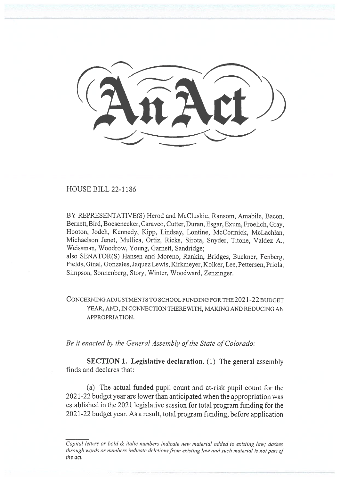HOUSE BILL 22-1186

BY REPRESENTATIVE(S) Herod and McCluskie, Ransom, Amabile, Bacon, Bennett, Bird, Boesenecker, Caraveo, Cutter, Duran, Esgar, Exum, Froelich, Gray, Hooton, Jodeh, Kennedy, Kipp, Lindsay, Lontine, McCormick, McLachlan, Michaelson Jenet, Mullica, Ortiz, Ricks, Sirota, Snyder, Titone, Valdez A., Weissman, Woodrow, Young, Garnett, Sandridge;

also SENATOR(S) Hansen and Moreno, Rankin, Bridges, Buckner, Fenberg, Fields, Ginal, Gonzales, Jaquez Lewis, Kirkmeyer, Kolker, Lee, Pettersen, Priola, Simpson, Sonnenberg, Story, Winter, Woodward, Zenzinger.

CONCERNING ADJUSTMENTS TO SCHOOL FUNDING FOR THE 2021-22 BUDGET YEAR, AND, IN CONNECTION THEREWITH, MAKING AND REDUCING AN APPROPRIATION.

Be it enacted by the General Assembly of the State of Colorado:

SECTION 1. Legislative declaration. (1) The general assembly finds and declares that:

(a) The actual funded pupil count and at-risk pupil count for the 2021-22 budget year are lower than anticipated when the appropriation was established in the 2021 legislative session for total program funding for the 2021-22 budget year. As a result, total program funding, before application

Capital letters or bold & italic numbers indicate new material added to existing law; dashes through words or numbers indicate deletions from existing law and such material is not part of the act.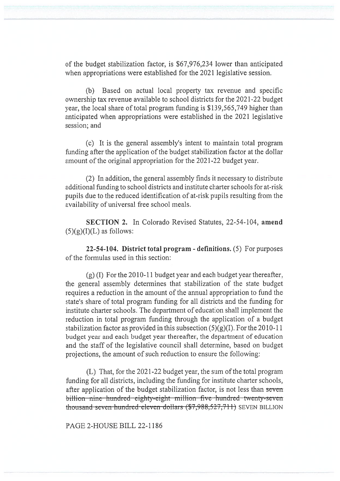of the budget stabilization factor, is \$67,976,234 lower than anticipated when appropriations were established for the 2021 legislative session.

(b) Based on actual local property tax revenue and specific ownership tax revenue available to school districts for the 2021-22 budget year, the local share of total program funding is \$139,565,749 higher than anticipated when appropriations were established in the 2021 legislative session; and

(c) It is the general assembly's intent to maintain total program funding after the application of the budget stabilization factor at the dollar amount of the original appropriation for the 2021-22 budget year.

(2) In addition, the general assembly finds it necessary to distribute additional funding to school districts and institute charter schools for at-risk pupils due to the reduced identification of at-risk pupils resulting from the availability of universal free school meals.

SECTION 2. In Colorado Revised Statutes, 22-54-104, amend  $(5)(g)(I)(L)$  as follows:

22-54-104. District total program - definitions. (5) For purposes of the formulas used in this section:

(g) (I) For the 2010-11 budget year and each budget year thereafter, the general assembly determines that stabilization of the state budget requires a reduction in the amount of the annual appropriation to fund the state's share of total program funding for all districts and the funding for institute charter schools. The department of education shall implement the reduction in total program funding through the application of a budget stabilization factor as provided in this subsection  $(5)(g)(I)$ . For the 2010-11 budget year and each budget year thereafter, the department of education and the staff of the legislative council shall determine, based on budget projections, the amount of such reduction to ensure the following:

(L) That, for the 2021-22 budget year, the sum of the total program funding for all districts, including the funding for institute charter schools, after application of the budget stabilization factor, is not less than seven billion—nine-hundred—eighty-eight—million—five—hundred—twenty-seven thousand seven hundred eleven dollars  $(*7,988,527,711)$  SEVEN BILLION

PAGE 2-HOUSE BILL 22-1186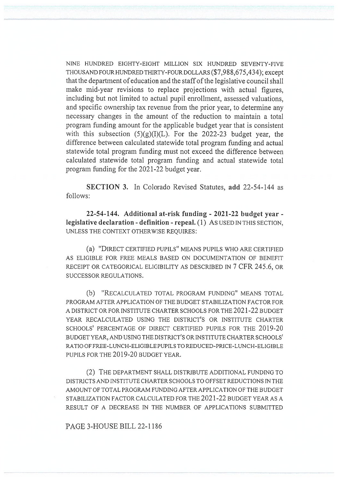NINE HUNDRED EIGHTY-EIGHT MILLION SIX HUNDRED SEVENTY-FIVE THOUSAND FOUR HUNDRED THIRTY-FOUR DOLLARS (\$7,988,675,434); except that the department of education and the staff of the legislative council shall make mid-year revisions to replace projections with actual figures, including but not limited to actual pupil enrollment, assessed valuations, and specific ownership tax revenue from the prior year, to determine any necessary changes in the amount of the reduction to maintain a total program funding amount for the applicable budget year that is consistent with this subsection  $(5)(g)(I)(L)$ . For the 2022-23 budget year, the difference between calculated statewide total program funding and actual statewide total program funding must not exceed the difference between calculated statewide total program funding and actual statewide total program funding for the 2021-22 budget year.

SECTION 3. In Colorado Revised Statutes, add 22-54-144 as follows:

22-54-144. Additional at-risk funding - 2021-22 budget year legislative declaration - definition - repeal. (1) AS USED IN THIS SECTION, UNLESS THE CONTEXT OTHERWISE REQUIRES:

(a) "DIRECT CERTIFIED PUPILS" MEANS PUPILS WHO ARE CERTIFIED AS ELIGIBLE FOR FREE MEALS BASED ON DOCUMENTATION OF BENEFIT RECEIPT OR CATEGORICAL ELIGIBILITY AS DESCRIBED IN 7 CFR 245.6, OR SUCCESSOR REGULATIONS.

(b) "RECALCULATED TOTAL PROGRAM FUNDING" MEANS TOTAL PROGRAM AFTER APPLICATION OF THE BUDGET STABILIZATION FACTOR FOR A DISTRICT OR FOR INSTITUTE CHARTER SCHOOLS FOR THE 2021-22 BUDGET YEAR RECALCULATED USING THE DISTRICT'S OR INSTITUTE CHARTER SCHOOLS' PERCENTAGE OF DIRECT CERTIFIED PUPILS FOR THE 2019-20 BUDGET YEAR, AND USING THE DISTRICT'S OR INSTITUTE CHARTER SCHOOLS' RATIO OF FREE-LUNCH-ELIGIBLE PUPILS TO REDUCED-PRICE-LUNCH-ELIGIBLE PUPILS FOR THE 2019-20 BUDGET YEAR.

(2) THE DEPARTMENT SHALL DISTRIBUTE ADDITIONAL FUNDING TO DISTRICTS AND INSTITUTE CHARTER SCHOOLS TO OFFSET REDUCTIONS IN THE AMOUNT OF TOTAL PROGRAM FUNDING AFTER APPLICATION OF THE BUDGET STABILIZATION FACTOR CALCULATED FOR THE 2021-22 BUDGET YEAR AS A RESULT OF A DECREASE IN THE NUMBER OF APPLICATIONS SUBMITTED

PAGE 3-HOUSE BILL 22-1186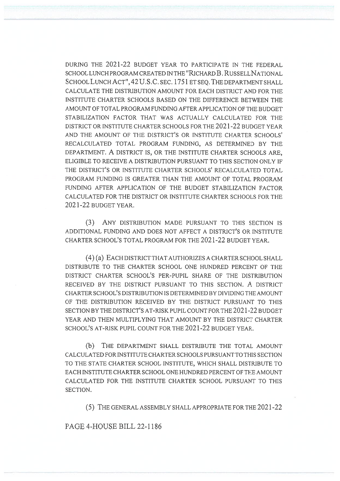DURING THE 2021-22 BUDGET YEAR TO PARTICIPATE IN THE FEDERAL SCHOOL LUNCH PROGRAM CREATED IN THE "RICHARD B. RUSSELL NATIONAL SCHOOL LUNCH ACT", 42 U.S.C. SEC. 1751 ET SEQ. THE DEPARTMENT SHALL CALCULATE THE DISTRIBUTION AMOUNT FOR EACH DISTRICT AND FOR THE INSTITUTE CHARTER SCHOOLS BASED ON THE DIFFERENCE BETWEEN THE AMOUNT OF TOTAL PROGRAM FUNDING AFTER APPLICATION OF THE BUDGET STABILIZATION FACTOR THAT WAS ACTUALLY CALCULATED FOR THE DISTRICT OR INSTITUTE CHARTER SCHOOLS FOR THE 2021-22 BUDGET YEAR AND THE AMOUNT OF THE DISTRICT'S OR INSTITUTE CHARTER SCHOOLS' RECALCULATED TOTAL PROGRAM FUNDING, AS DETERMINED BY THE DEPARTMENT. A DISTRICT IS, OR THE INSTITUTE CHARTER SCHOOLS ARE, ELIGIBLE TO RECEIVE A DISTRIBUTION PURSUANT TO THIS SECTION ONLY IF THE DISTRICT'S OR INSTITUTE CHARTER SCHOOLS' RECALCULATED TOTAL PROGRAM FUNDING IS GREATER THAN THE AMOUNT OF TOTAL PROGRAM FUNDING AFTER APPLICATION OF THE BUDGET STABILIZATION FACTOR CALCULATED FOR THE DISTRICT OR INSTITUTE CHARTER SCHOOLS FOR THE 2021-22 BUDGET YEAR.

(3) ANY DISTRIBUTION MADE PURSUANT TO THIS SECTION IS ADDITIONAL FUNDING AND DOES NOT AFFECT A DISTRICT'S OR INSTITUTE CHARTER SCHOOL'S TOTAL PROGRAM FOR THE 2021-22 BUDGET YEAR.

(4) (a) EACH DISTRICT THAT AUTHORIZES A CHARTER SCHOOL SHALL DISTRIBUTE TO THE CHARTER SCHOOL ONE HUNDRED PERCENT OF THE DISTRICT CHARTER SCHOOL'S PER-PUPIL SHARE OF THE DISTRIBUTION RECEIVED BY THE DISTRICT PURSUANT TO THIS SECTION. A DISTRICT CHARTER SCHOOL'S DISTRIBUTION IS DETERMINED BY DIVIDING THE AMOUNT OF THE DISTRIBUTION RECEIVED BY THE DISTRICT PURSUANT TO THIS SECTION BY THE DISTRICT'S AT-RISK PUPIL COUNT FOR THE 2021-22 BUDGET YEAR AND THEN MULTIPLYING THAT AMOUNT BY THE DISTRICT CHARTER SCHOOL'S AT-RISK PUPIL COUNT FOR THE 2021-22 BUDGET YEAR.

(b) THE DEPARTMENT SHALL DISTRIBUTE THE TOTAL AMOUNT CALCULATED FOR INSTITUTE CHARTER SCHOOLS PURSUANT TO THIS SECTION TO THE STATE CHARTER SCHOOL INSTITUTE, WHICH SHALL DISTRIBUTE TO EACH INSTITUTE CHARTER SCHOOL ONE HUNDRED PERCENT OF THE AMOUNT CALCULATED FOR THE INSTITUTE CHARTER SCHOOL PURSUANT TO THIS SECTION.

(5) THE GENERAL ASSEMBLY SHALL APPROPRIATE FOR THE 2021-22

PAGE 4-HOUSE BILL 22-1186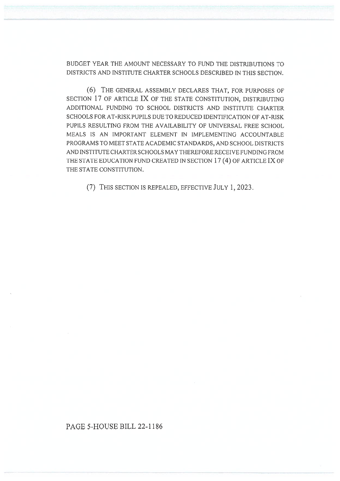BUDGET YEAR THE AMOUNT NECESSARY TO FUND THE DISTRIBUTIONS TO DISTRICTS AND INSTITUTE CHARTER SCHOOLS DESCRIBED IN THIS SECTION.

(6) THE GENERAL ASSEMBLY DECLARES THAT, FOR PURPOSES OF SECTION 17 OF ARTICLE IX OF THE STATE CONSTITUTION, DISTRIBUTING ADDITIONAL FUNDING TO SCHOOL DISTRICTS AND INSTITUTE CHARTER SCHOOLS FOR AT-RISK PUPILS DUE TO REDUCED IDENTIFICATION OF AT-RISK PUPILS RESULTING FROM THE AVAILABILITY OF UNIVERSAL FREE SCHOOL MEALS IS AN IMPORTANT ELEMENT IN IMPLEMENTING ACCOUNTABLE PROGRAMS TO MEET STATE ACADEMIC STANDARDS, AND SCHOOL DISTRICTS AND INSTITUTE CHARTER SCHOOLS MAY THEREFORE RECEIVE FUNDING FROM THE STATE EDUCATION FUND CREATED IN SECTION 17 (4) OF ARTICLE IX OF THE STATE CONSTITUTION.

(7) THIS SECTION IS REPEALED, EFFECTIVE JULY 1, 2023.

## PAGE 5-HOUSE BILL 22-1186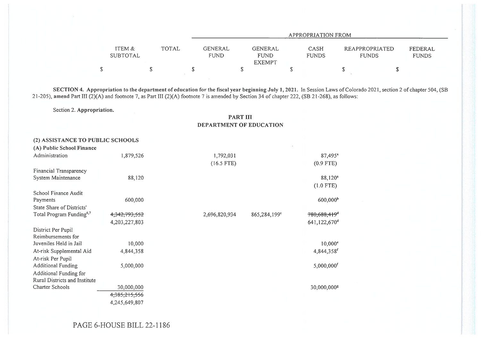|                                    |                        | APPROPRIATION FROM                      |                             |                                |                         |  |  |
|------------------------------------|------------------------|-----------------------------------------|-----------------------------|--------------------------------|-------------------------|--|--|
| ITEM &<br><b>TOTAL</b><br>SUBTOTAL | GENERAL<br><b>FUND</b> | GENERAL<br><b>FUND</b><br><b>EXEMPT</b> | <b>CASH</b><br><b>FUNDS</b> | REAPPROPRIATED<br><b>FUNDS</b> | FEDERAL<br><b>FUNDS</b> |  |  |
|                                    |                        |                                         |                             |                                |                         |  |  |

SECTION 4. Appropriation to the department of education for the fiscal year beginning July 1, 2021. In Session Laws of Colorado 2021, section 2 of chapter 504, (SB 21-205), amend Part III (2)(A) and footnote 7, as Part III (2)(A) footnote 7 is amended by Section 34 of chapter 222, (SB 21-268), as follows:

Section 2. Appropriation.

PART III DEPARTMENT OF EDUCATION

| (2) ASSISTANCE TO PUBLIC SCHOOLS     |               |               |                                          |
|--------------------------------------|---------------|---------------|------------------------------------------|
| (A) Public School Finance            |               |               |                                          |
| Administration                       | 1,879,526     | 1,792,031     | $87,495$ <sup>a</sup>                    |
|                                      |               | $(16.5$ FTE)  | $(0.9$ FTE)                              |
| Financial Transparency               |               |               |                                          |
| System Maintenance                   | 88,120        |               | 88,120 <sup>a</sup>                      |
|                                      |               |               | $(1.0$ FTE)                              |
| School Finance Audit                 |               |               |                                          |
| Payments                             | 600,000       |               | 600,000 <sup>b</sup>                     |
| State Share of Districts'            |               |               |                                          |
| Total Program Funding <sup>6,7</sup> | 4,342,793,552 | 2,696,820,934 | 780,688,419 <sup>d</sup><br>865,284,199° |
|                                      | 4,203,227,803 |               | 641,122,670 <sup>d</sup>                 |
| District Per Pupil                   |               |               |                                          |
| Reimbursements for                   |               |               |                                          |
| Juveniles Held in Jail               | 10,000        |               | $10,000$ <sup>e</sup>                    |
| At-risk Supplemental Aid             | 4,844,358     |               | 4,844,358 <sup>f</sup>                   |
| At-risk Per Pupil                    |               |               |                                          |
| <b>Additional Funding</b>            | 5,000,000     |               | 5,000,000f                               |
| Additional Funding for               |               |               |                                          |
| Rural Districts and Institute        |               |               |                                          |
| Charter Schools                      | 30,000,000    |               | 30,000,000 <sup>s</sup>                  |
|                                      | 4,385,215,556 |               |                                          |
|                                      | 4,245,649,807 |               |                                          |

PAGE 6-HOUSE BILL 22-1186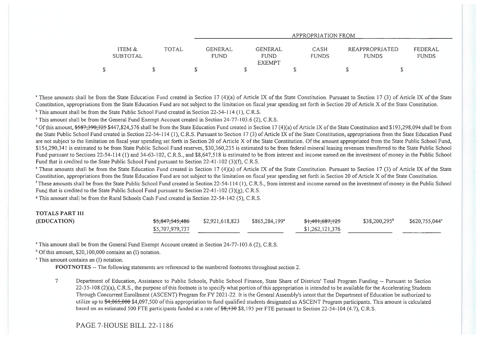|                           |              | APPROPRIATION FROM |                                                                          |                             |                                |                         |  |  |
|---------------------------|--------------|--------------------|--------------------------------------------------------------------------|-----------------------------|--------------------------------|-------------------------|--|--|
| ITEM &<br><b>SUBTOTAL</b> | <b>TOTAL</b> |                    | <b>GENERAL</b><br>GENERAL<br><b>FUND</b><br><b>FUND</b><br><b>EXEMPT</b> | <b>CASH</b><br><b>FUNDS</b> | REAPPROPRIATED<br><b>FUNDS</b> | FEDERAL<br><b>FUNDS</b> |  |  |
|                           |              |                    |                                                                          |                             |                                |                         |  |  |

<sup>a</sup> These amounts shall be from the State Education Fund created in Section 17 (4)(a) of Article IX of the State Constitution. Pursuant to Section 17 (3) of Article IX of the State Constitution, appropriations from the State Education Fund are not subject to the limitation on fiscal year spending set forth in Section 20 of Article X of the State Constitution. <sup>b</sup> This amount shall be from the State Public School Fund created in Section 22-54-114 (1), C.R.S.

` This amount shall be from the General Fund Exempt Account created in Section 24-77-103.6 (2), C.R.S.

<sup>d</sup> Of this amount, \$587,390,325 \$447,824,576 shall be from the State Education Fund created in Section 17 (4)(a) of Article IX of the State Constitution and \$193,298,094 shall be from the State Public School Fund created in Section 22-54-114 (1), C.R.S. Pursuant to Section 17 (3) of Article IX of the State Constitution, appropriations from the State Education Fund are not subject to the limitation on fiscal year spending set forth in Section 20 of Article X of the State Constitution. Of the amount appropriated from the State Public School Fund, \$154,290,341 is estimated to be from State Public School Fund reserves, \$30,360,235 is estimated to be from federal mineral leasing revenues transferred to the State Public School Fund pursuant to Sections 22-54-114 (1) and 34-63-102, C.R.S., and \$8,647,518 is estimated to be from interest and income earned on the investment of money in the Public School Fund that is credited to the State Public School Fund pursuant to Section 22-41-102 (3)(f), C.R.S.

' These amounts shall be from the State Education Fund created in Section 17 (4)(a) of Article IX of the State Constitution. Pursuant to Section 17 (3) of Article IX of the State Constitution, appropriations from the State Education Fund are not subject to the limitation on fiscal year spending set forth in Section 20 of Article X of the State Constitution.

<sup>f</sup> These amounts shall be from the State Public School Fund created in Section 22-54-114 (1), C.R.S., from interest and income earned on the investment of money in the Public School Fund that is credited to the State Public School Fund pursuant to Section 22-41-102 (3)(g), C.R.S.

<sup>8</sup> This amount shall be from the Rural Schools Cash Fund created in Section 22-54-142 (5), C.R.S.

## TOTALS PART III

| (EDUCATION) | <del>\$5,847,545,486</del> | \$2,921,618,823 | $$865,284,199$ <sup>a</sup> | <del>\$1,401,687,125</del> | $$38,200,295^b$ | $$620,755,044^{\circ}$ |
|-------------|----------------------------|-----------------|-----------------------------|----------------------------|-----------------|------------------------|
|             | \$5,707,979,737            |                 |                             | \$1,262,121,376            |                 |                        |

<sup>a</sup> This amount shall be from the General Fund Exempt Account created in Section 24-77-103.6 (2), C.R.S.

 $b$  Of this amount, \$20,100,000 contains an (I) notation.

' This amount contains an (I) notation.

FOOTNOTES -- The following statements are referenced to the numbered footnotes throughout section 2.

7 Department of Education, Assistance to Public Schools, Public School Finance, State Share of Districts' Total Program Funding -- Pursuant to Section 22-35-108 (2)(a), C.R.S., the purpose of this footnote is to specify what portion of this appropriation is intended to be available for the Accelerating Students Through Concurrent Enrollment (ASCENT) Program for FY 2021-22. It is the General Assembly's intent that the Department of Education be authorized to utilize up to \$4,065,000 \$4,097,500 of this appropriation to fund qualified students designated as ASCENT Program participants. This amount is calculated based on an estimated 500 FTE participants funded at a rate of  $\frac{22-54-104}{4.7}$ , C.R.S.

## PAGE 7-HOUSE BILL 22-1186